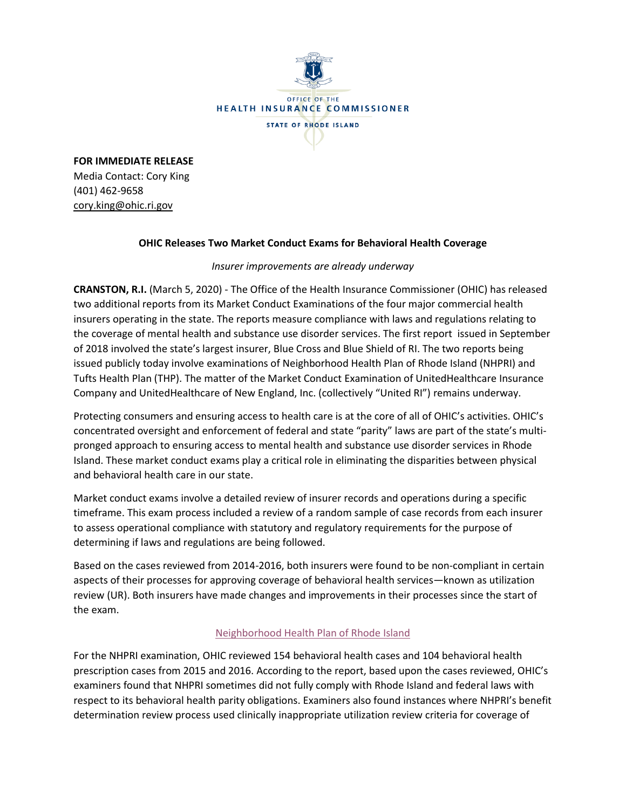

**FOR IMMEDIATE RELEASE** Media Contact: Cory King (401) 462-9658 cory.king@ohic.ri.gov

## **OHIC Releases Two Market Conduct Exams for Behavioral Health Coverage**

*Insurer improvements are already underway*

**CRANSTON, R.I.** (March 5, 2020) - The Office of the Health Insurance Commissioner (OHIC) has released two additional reports from its Market Conduct Examinations of the four major commercial health insurers operating in the state. The reports measure compliance with laws and regulations relating to the coverage of mental health and substance use disorder services. The first report issued in September of 2018 involved the state's largest insurer, Blue Cross and Blue Shield of RI. The two reports being issued publicly today involve examinations of Neighborhood Health Plan of Rhode Island (NHPRI) and Tufts Health Plan (THP). The matter of the Market Conduct Examination of UnitedHealthcare Insurance Company and UnitedHealthcare of New England, Inc. (collectively "United RI") remains underway.

Protecting consumers and ensuring access to health care is at the core of all of OHIC's activities. OHIC's concentrated oversight and enforcement of federal and state "parity" laws are part of the state's multipronged approach to ensuring access to mental health and substance use disorder services in Rhode Island. These market conduct exams play a critical role in eliminating the disparities between physical and behavioral health care in our state.

Market conduct exams involve a detailed review of insurer records and operations during a specific timeframe. This exam process included a review of a random sample of case records from each insurer to assess operational compliance with statutory and regulatory requirements for the purpose of determining if laws and regulations are being followed.

Based on the cases reviewed from 2014-2016, both insurers were found to be non-compliant in certain aspects of their processes for approving coverage of behavioral health services—known as utilization review (UR). Both insurers have made changes and improvements in their processes since the start of the exam.

## [Neighborhood Health Plan of Rhode Island](http://www.ohic.ri.gov/documents/2020/March/NHP%20MCE_V12.2_03042020_WEBSITE.pdf)

For the NHPRI examination, OHIC reviewed 154 behavioral health cases and 104 behavioral health prescription cases from 2015 and 2016. According to the report, based upon the cases reviewed, OHIC's examiners found that NHPRI sometimes did not fully comply with Rhode Island and federal laws with respect to its behavioral health parity obligations. Examiners also found instances where NHPRI's benefit determination review process used clinically inappropriate utilization review criteria for coverage of